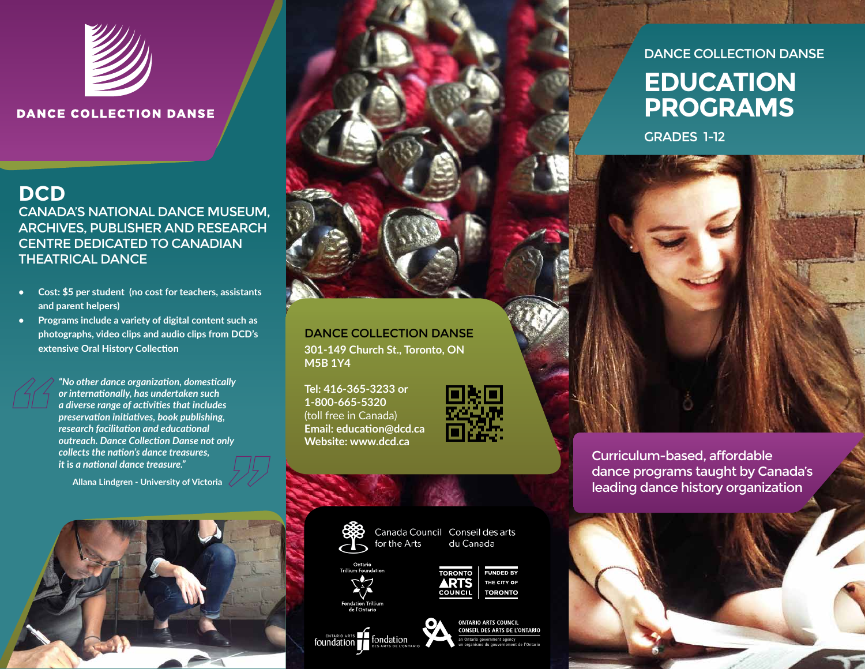

#### **DANCE COLLECTION DANSE**

#### **DCD** CANADA'S NATIONAL DANCE MUSEUM, ARCHIVES, PUBLISHER AND RESEARCH CENTRE DEDICATED TO CANADIAN THEATRICAL DANCE

- **• Cost: \$5 per student (no cost for teachers, assistants and parent helpers)**
- **• Programs include a variety of digital content such as photographs, video clips and audio clips from DCD's extensive Oral History Collection**

*"No other dance organization, domestically or internationally, has undertaken such a diverse range of activities that includes preservation initiatives, book publishing, research facilitation and educational outreach. Dance Collection Danse not only collects the nation's dance treasures, it* **is** *a national dance treasure."* 

**Allana Lindgren - University of Victoria**





DANCE COLLECTION DANSE **301-149 Church St., Toronto, ON M5B 1Y4**

**Tel: 416-365-3233 or 1-800-665-5320** (toll free in Canada) **Email: education@dcd.ca Website: www.dcd.ca**





Canada Council Conseil des arts for the Arts du Canada







**ONTARIO ARTS COUNCIL** CONSEIL DES ARTS DE L'ONTARIO an Ontario government agency un organisme du gouvernement de l'Ontario

### DANCE COLLECTION DANSE

## **EDUCATION PROGRAMS**

GRADES 1-12

Curriculum-based, affordable dance programs taught by Canada's leading dance history organization